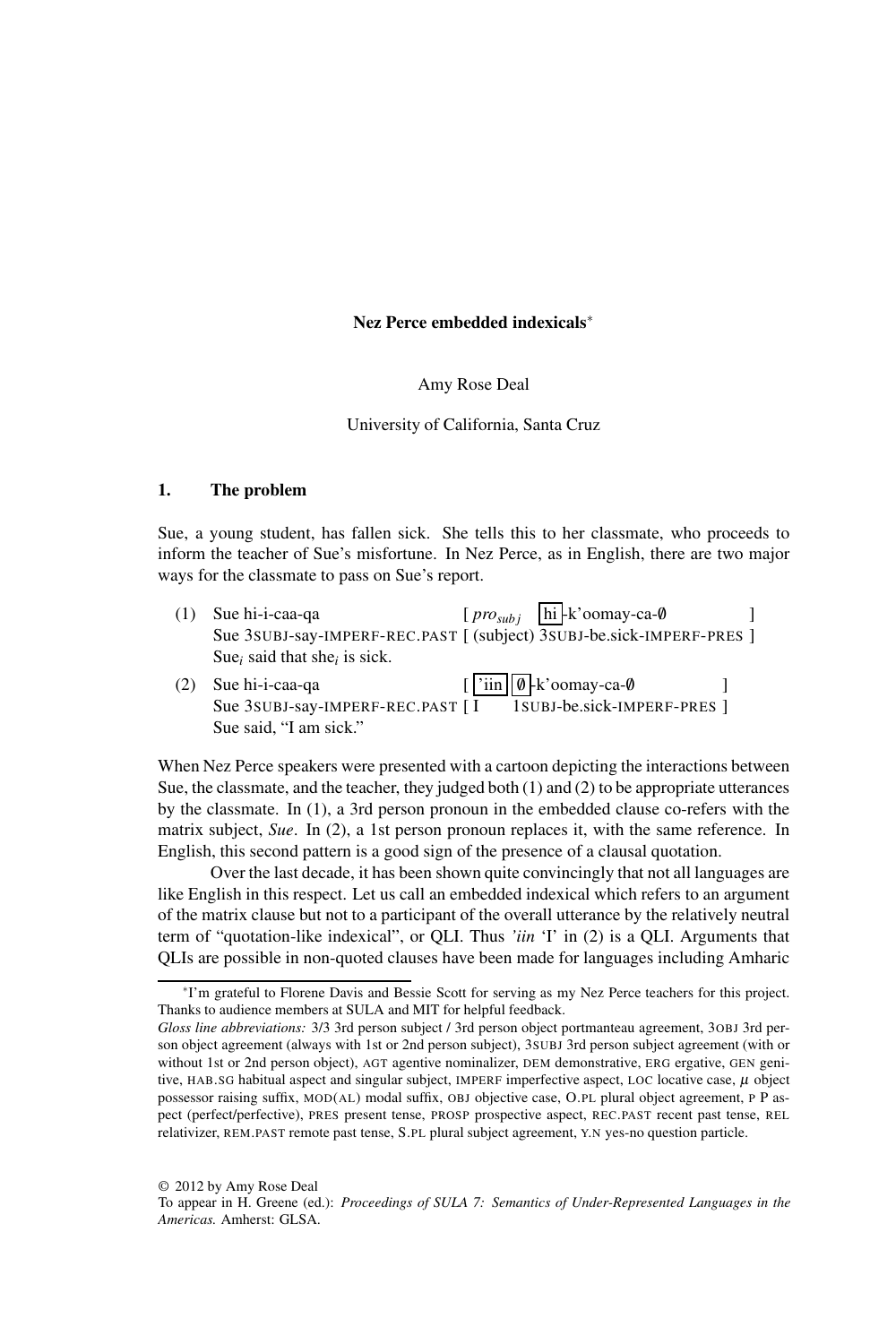# Nez Perce embedded indexicals∗

# Amy Rose Deal

### University of California, Santa Cruz

# 1. The problem

Sue, a young student, has fallen sick. She tells this to her classmate, who proceeds to inform the teacher of Sue's misfortune. In Nez Perce, as in English, there are two major ways for the classmate to pass on Sue's report.

- (1) Sue hi-i-caa-ga Sue hi-i-caa-qa 3SUBJ-say-IMPERF-REC.PAST [ [ *prosub j* (subject) hi -k'oomay-ca-/0 3SUBJ-be.sick-IMPERF-PRES ] ] Sue*<sup>i</sup>* said that she*<sup>i</sup>* is sick.
- (2) Sue hi-i-caa-qa Sue hi-i-caa-qa 3SUBJ-say-IMPERF-REC.PAST [ [ 'iin I /0 -k'oomay-ca-/0 1SUBJ-be.sick-IMPERF-PRES ] ] Sue said, "I am sick."

When Nez Perce speakers were presented with a cartoon depicting the interactions between Sue, the classmate, and the teacher, they judged both (1) and (2) to be appropriate utterances by the classmate. In (1), a 3rd person pronoun in the embedded clause co-refers with the matrix subject, *Sue*. In (2), a 1st person pronoun replaces it, with the same reference. In English, this second pattern is a good sign of the presence of a clausal quotation.

Over the last decade, it has been shown quite convincingly that not all languages are like English in this respect. Let us call an embedded indexical which refers to an argument of the matrix clause but not to a participant of the overall utterance by the relatively neutral term of "quotation-like indexical", or QLI. Thus *'iin* 'I' in (2) is a QLI. Arguments that QLIs are possible in non-quoted clauses have been made for languages including Amharic

© 2012 by Amy Rose Deal

<sup>∗</sup> I'm grateful to Florene Davis and Bessie Scott for serving as my Nez Perce teachers for this project. Thanks to audience members at SULA and MIT for helpful feedback.

*Gloss line abbreviations:* 3/3 3rd person subject / 3rd person object portmanteau agreement, 3OBJ 3rd person object agreement (always with 1st or 2nd person subject), 3SUBJ 3rd person subject agreement (with or without 1st or 2nd person object), AGT agentive nominalizer, DEM demonstrative, ERG ergative, GEN genitive, HAB.SG habitual aspect and singular subject, IMPERF imperfective aspect, LOC locative case,  $\mu$  object possessor raising suffix, MOD(AL) modal suffix, OBJ objective case, O.PL plural object agreement, P P aspect (perfect/perfective), PRES present tense, PROSP prospective aspect, REC.PAST recent past tense, REL relativizer, REM.PAST remote past tense, S.PL plural subject agreement, Y.N yes-no question particle.

To appear in H. Greene (ed.): *Proceedings of SULA 7: Semantics of Under-Represented Languages in the Americas.* Amherst: GLSA.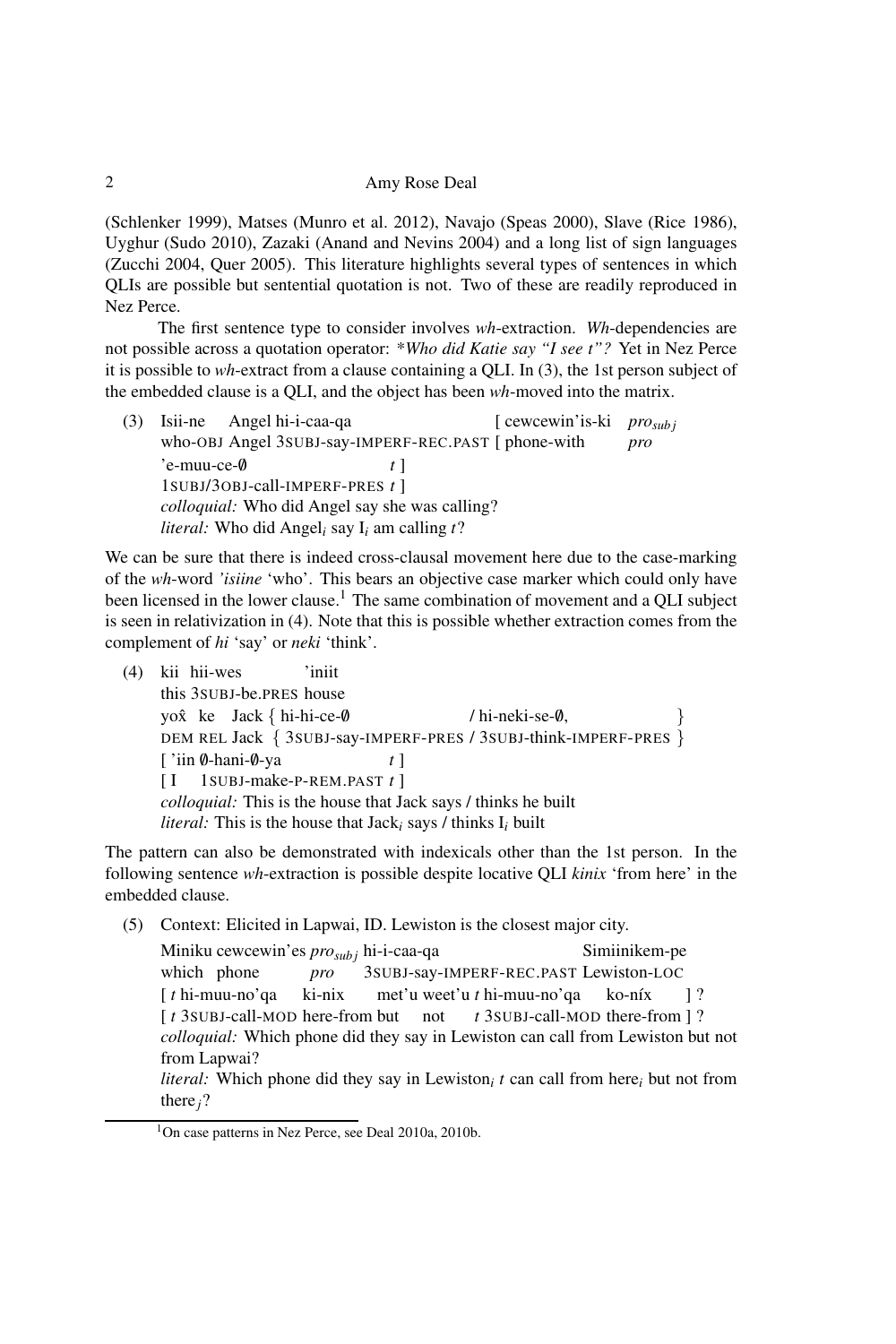(Schlenker 1999), Matses (Munro et al. 2012), Navajo (Speas 2000), Slave (Rice 1986), Uyghur (Sudo 2010), Zazaki (Anand and Nevins 2004) and a long list of sign languages (Zucchi 2004, Quer 2005). This literature highlights several types of sentences in which QLIs are possible but sentential quotation is not. Two of these are readily reproduced in Nez Perce.

The first sentence type to consider involves *wh*-extraction. *Wh*-dependencies are not possible across a quotation operator: \**Who did Katie say "I see t"?* Yet in Nez Perce it is possible to *wh*-extract from a clause containing a QLI. In (3), the 1st person subject of the embedded clause is a QLI, and the object has been *wh*-moved into the matrix.

(3) Isii-ne who-OBJ Angel 3SUBJ-say-IMPERF-REC.PAST [ phone-with Angel hi-i-caa-qa [ cewcewin'is-ki *prosub j pro* 'e-muu-ce-/0 1SUBJ/3OBJ-call-IMPERF-PRES *t* ] *t* ] *colloquial:* Who did Angel say she was calling? *literal:* Who did Angel*<sup>i</sup>* say I*<sup>i</sup>* am calling *t*?

We can be sure that there is indeed cross-clausal movement here due to the case-marking of the *wh*-word *'isiine* 'who'. This bears an objective case marker which could only have been licensed in the lower clause.<sup>1</sup> The same combination of movement and a OLI subject is seen in relativization in (4). Note that this is possible whether extraction comes from the complement of *hi* 'say' or *neki* 'think'.

(4) kii hii-wes this 3SUBJ-be.PRES house 'iniit yox<sup>k</sup>e Jack { hi-hi-ce-0 yox ke Jack { n1-n1-ce-0<br>DEM REL Jack { 3SUBJ-say-IMPERF-PRES / 3SUBJ-think-IMPERF-PRES } / hi-neki-se-0, } ['iin Ø-hani-Ø-ya [ I 1SUBJ-make-P-REM.PAST *t* ] *t* ] *colloquial:* This is the house that Jack says / thinks he built *literal:* This is the house that Jack*<sup>i</sup>* says / thinks I*<sup>i</sup>* built

The pattern can also be demonstrated with indexicals other than the 1st person. In the following sentence *wh*-extraction is possible despite locative QLI *kinix* 'from here' in the embedded clause.

(5) Context: Elicited in Lapwai, ID. Lewiston is the closest major city.

Miniku cewcewin'es *prosub j* hi-i-caa-qa which phone *pro* 3SUBJ-say-IMPERF-REC.PAST Lewiston-LOC Simiinikem-pe [ *t* hi-muu-no'qa [  $t$  3SUBJ-call-MOD here-from but ki-nix met'u weet'u *t* hi-muu-no'qa not t 3subJ-call-MOD there-from ] ? ko-níx ] ? *colloquial:* Which phone did they say in Lewiston can call from Lewiston but not from Lapwai? *literal:* Which phone did they say in Lewiston*<sup>i</sup> t* can call from here*<sup>i</sup>* but not from there*j*?

 $\overline{2}$ 

<sup>1</sup>On case patterns in Nez Perce, see Deal 2010a, 2010b.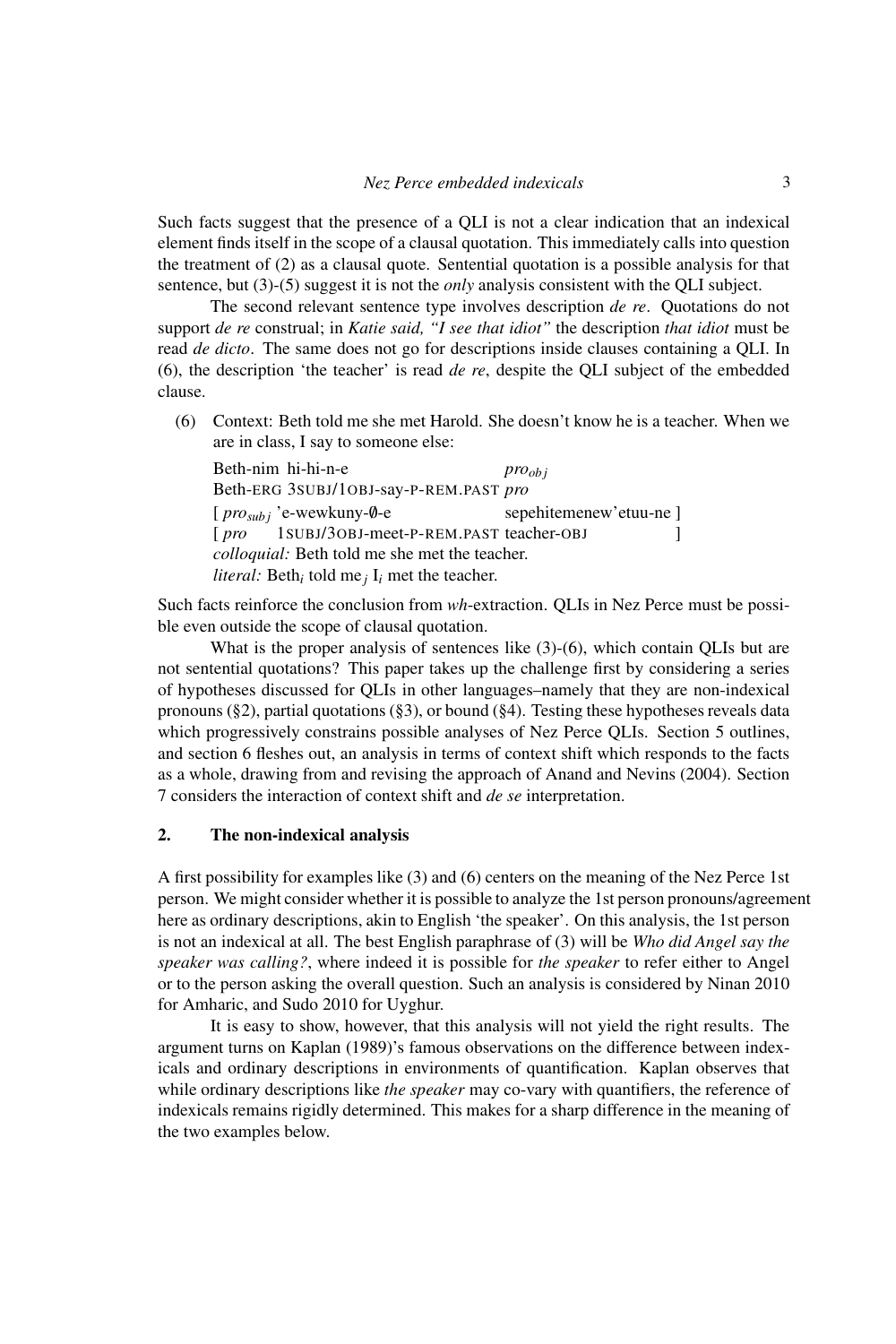Such facts suggest that the presence of a QLI is not a clear indication that an indexical element finds itself in the scope of a clausal quotation. This immediately calls into question the treatment of (2) as a clausal quote. Sentential quotation is a possible analysis for that sentence, but (3)-(5) suggest it is not the *only* analysis consistent with the QLI subject.

The second relevant sentence type involves description *de re*. Quotations do not support *de re* construal; in *Katie said, "I see that idiot"* the description *that idiot* must be read *de dicto*. The same does not go for descriptions inside clauses containing a QLI. In (6), the description 'the teacher' is read *de re*, despite the QLI subject of the embedded clause.

(6) Context: Beth told me she met Harold. She doesn't know he is a teacher. When we are in class, I say to someone else:

| Beth-nim hi-hi-n-e                                                            | $pro_{obj}$           |
|-------------------------------------------------------------------------------|-----------------------|
| Beth-ERG 3SUBJ/10BJ-say-P-REM.PAST pro                                        |                       |
| $[pro_{subi}$ 'e-wewkuny-0-e                                                  | sepehitemenew'etuu-ne |
| [pro 1SUBJ/30BJ-meet-P-REM.PAST teacher-OBJ                                   |                       |
| colloquial: Beth told me she met the teacher.                                 |                       |
| <i>literal:</i> Beth <sub>i</sub> told me <sub>j</sub> $I_i$ met the teacher. |                       |

Such facts reinforce the conclusion from *wh*-extraction. QLIs in Nez Perce must be possible even outside the scope of clausal quotation.

What is the proper analysis of sentences like  $(3)-(6)$ , which contain QLIs but are not sentential quotations? This paper takes up the challenge first by considering a series of hypotheses discussed for QLIs in other languages–namely that they are non-indexical pronouns (§2), partial quotations (§3), or bound (§4). Testing these hypotheses reveals data which progressively constrains possible analyses of Nez Perce QLIs. Section 5 outlines, and section 6 fleshes out, an analysis in terms of context shift which responds to the facts as a whole, drawing from and revising the approach of Anand and Nevins (2004). Section 7 considers the interaction of context shift and *de se* interpretation.

### 2. The non-indexical analysis

A first possibility for examples like (3) and (6) centers on the meaning of the Nez Perce 1st person. We might consider whether it is possible to analyze the 1st person pronouns/agreement here as ordinary descriptions, akin to English 'the speaker'. On this analysis, the 1st person is not an indexical at all. The best English paraphrase of (3) will be *Who did Angel say the speaker was calling?*, where indeed it is possible for *the speaker* to refer either to Angel or to the person asking the overall question. Such an analysis is considered by Ninan 2010 for Amharic, and Sudo 2010 for Uyghur.

It is easy to show, however, that this analysis will not yield the right results. The argument turns on Kaplan (1989)'s famous observations on the difference between indexicals and ordinary descriptions in environments of quantification. Kaplan observes that while ordinary descriptions like *the speaker* may co-vary with quantifiers, the reference of indexicals remains rigidly determined. This makes for a sharp difference in the meaning of the two examples below.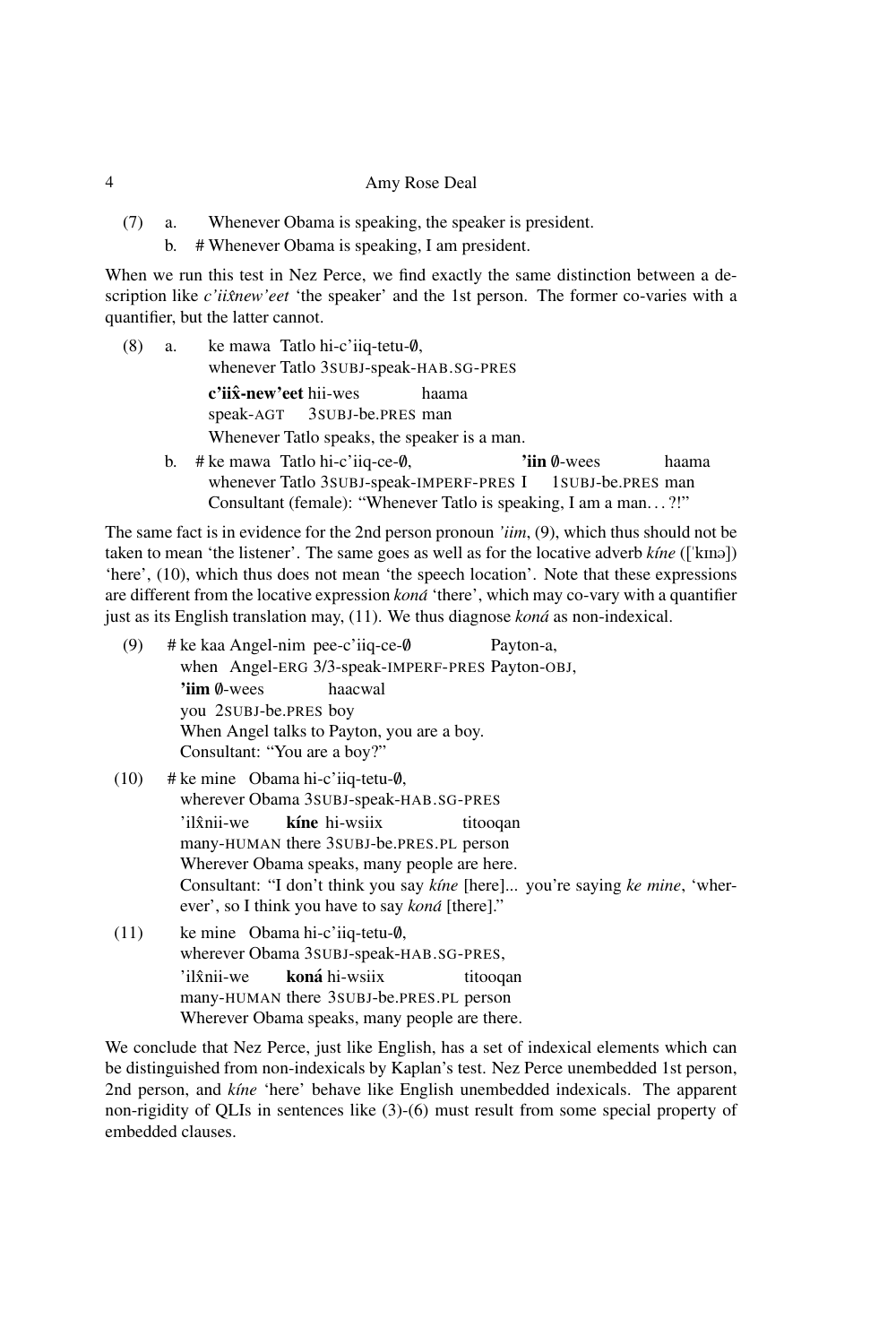- (7) a. Whenever Obama is speaking, the speaker is president.
	- b. # Whenever Obama is speaking, I am president.

When we run this test in Nez Perce, we find exactly the same distinction between a description like *c'iixnew'eet* 'the speaker' and the 1st person. The former co-varies with a quantifier, but the latter cannot.

- $(8)$  a. ke mawa Tatlo hi-c'iiq-tetu- $\emptyset$ , whenever Tatlo 3SUBJ-speak-HAB.SG-PRES c'iix̂-new'eet hii-wes speak-AGT 3SUBJ-be.PRES man haama Whenever Tatlo speaks, the speaker is a man.
	- b. # ke mawa Tatlo hi-c'iiq-ce-0, whenever Tatlo 3SUBJ-speak-IMPERF-PRES I 'iin 0-wees 1SUBJ-be.PRES man haama Consultant (female): "Whenever Tatlo is speaking, I am a man. . . ?!"

The same fact is in evidence for the 2nd person pronoun *'iim*, (9), which thus should not be taken to mean 'the listener'. The same goes as well as for the locative adverb *ktne* (['kma]) 'here', (10), which thus does not mean 'the speech location'. Note that these expressions are different from the locative expression *kona´* 'there', which may co-vary with a quantifier just as its English translation may, (11). We thus diagnose *kona´* as non-indexical.

- (9)  $\#$  ke kaa Angel-nim pee-c'iiq-ce- $\emptyset$ when Angel-ERG 3/3-speak-IMPERF-PRES Payton-OBJ, Payton-a, 'iim 0-wees you 2SUBJ-be.PRES boy haacwal When Angel talks to Payton, you are a boy. Consultant: "You are a boy?"
- $(10)$  # ke mine Obama hi-c'iiq-tetu- $\emptyset$ , wherever Obama 3SUBJ-speak-HAB.SG-PRES  $'$ il $\hat{x}$ nii-we many-HUMAN there 3SUBJ-be.PRES.PL person kíne hi-wsiix titooqan Wherever Obama speaks, many people are here. Consultant: "I don't think you say *k´ıne* [here]... you're saying *ke mine*, 'wherever', so I think you have to say *kona´* [there]."
- (11) ke mine Obama hi-c'iiq-tetu-0, wherever Obama 3SUBJ-speak-HAB.SG-PRES, 'il *î*nii-we many-HUMAN there 3SUBJ-be.PRES.PL person **koná** hi-wsiix titooqan Wherever Obama speaks, many people are there.

We conclude that Nez Perce, just like English, has a set of indexical elements which can be distinguished from non-indexicals by Kaplan's test. Nez Perce unembedded 1st person, 2nd person, and *k´ıne* 'here' behave like English unembedded indexicals. The apparent non-rigidity of QLIs in sentences like (3)-(6) must result from some special property of embedded clauses.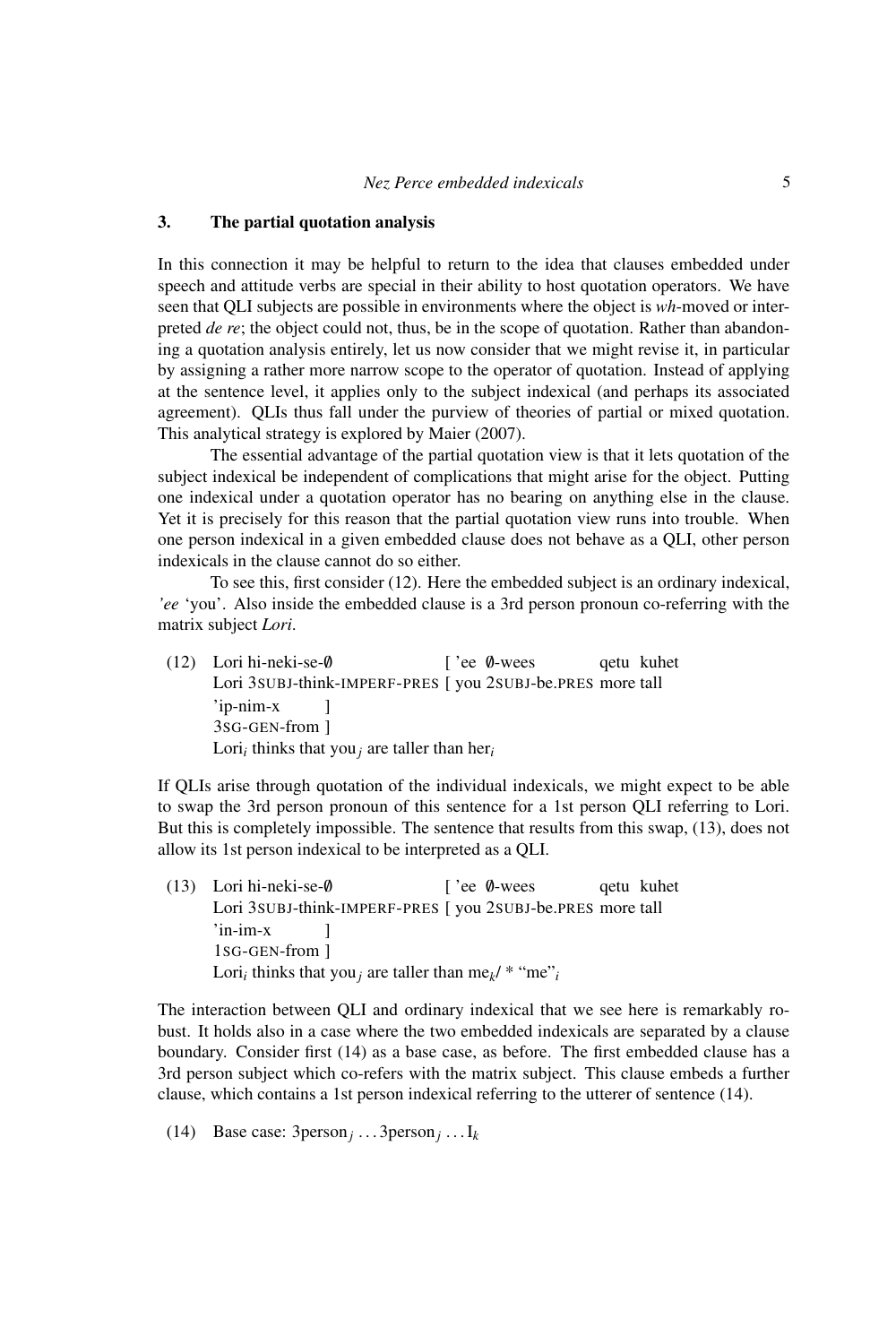# 3. The partial quotation analysis

In this connection it may be helpful to return to the idea that clauses embedded under speech and attitude verbs are special in their ability to host quotation operators. We have seen that QLI subjects are possible in environments where the object is *wh*-moved or interpreted *de re*; the object could not, thus, be in the scope of quotation. Rather than abandoning a quotation analysis entirely, let us now consider that we might revise it, in particular by assigning a rather more narrow scope to the operator of quotation. Instead of applying at the sentence level, it applies only to the subject indexical (and perhaps its associated agreement). QLIs thus fall under the purview of theories of partial or mixed quotation. This analytical strategy is explored by Maier (2007).

The essential advantage of the partial quotation view is that it lets quotation of the subject indexical be independent of complications that might arise for the object. Putting one indexical under a quotation operator has no bearing on anything else in the clause. Yet it is precisely for this reason that the partial quotation view runs into trouble. When one person indexical in a given embedded clause does not behave as a QLI, other person indexicals in the clause cannot do so either.

To see this, first consider (12). Here the embedded subject is an ordinary indexical, *'ee* 'you'. Also inside the embedded clause is a 3rd person pronoun co-referring with the matrix subject *Lori*.

(12) Lori hi-neki-se-/0 Lori 3subJ-think-IMPERF-PRES [ you 2subJ-be.PRES more tall ['ee Ø-wees qetu kuhet 'ip-nim-x 3SG-GEN-from ] ] Lori*<sup>i</sup>* thinks that you*<sup>j</sup>* are taller than her*<sup>i</sup>*

If QLIs arise through quotation of the individual indexicals, we might expect to be able to swap the 3rd person pronoun of this sentence for a 1st person QLI referring to Lori. But this is completely impossible. The sentence that results from this swap, (13), does not allow its 1st person indexical to be interpreted as a QLI.

(13) Lori hi-neki-se-/0 Lori 3 SUBJ-think-IMPERF-PRES [ you 2 SUBJ-be.PRES more tall ['ee Ø-wees qetu kuhet 'in-im-x 1SG-GEN-from ] ] Lori<sub>*i*</sub> thinks that you<sub>*j*</sub> are taller than me<sub>k</sub>/ \* "me"<sub>*i*</sub>

The interaction between QLI and ordinary indexical that we see here is remarkably robust. It holds also in a case where the two embedded indexicals are separated by a clause boundary. Consider first (14) as a base case, as before. The first embedded clause has a 3rd person subject which co-refers with the matrix subject. This clause embeds a further clause, which contains a 1st person indexical referring to the utterer of sentence (14).

(14) Base case: 3person*<sup>j</sup>* . . . 3person*<sup>j</sup>* . . . I*<sup>k</sup>*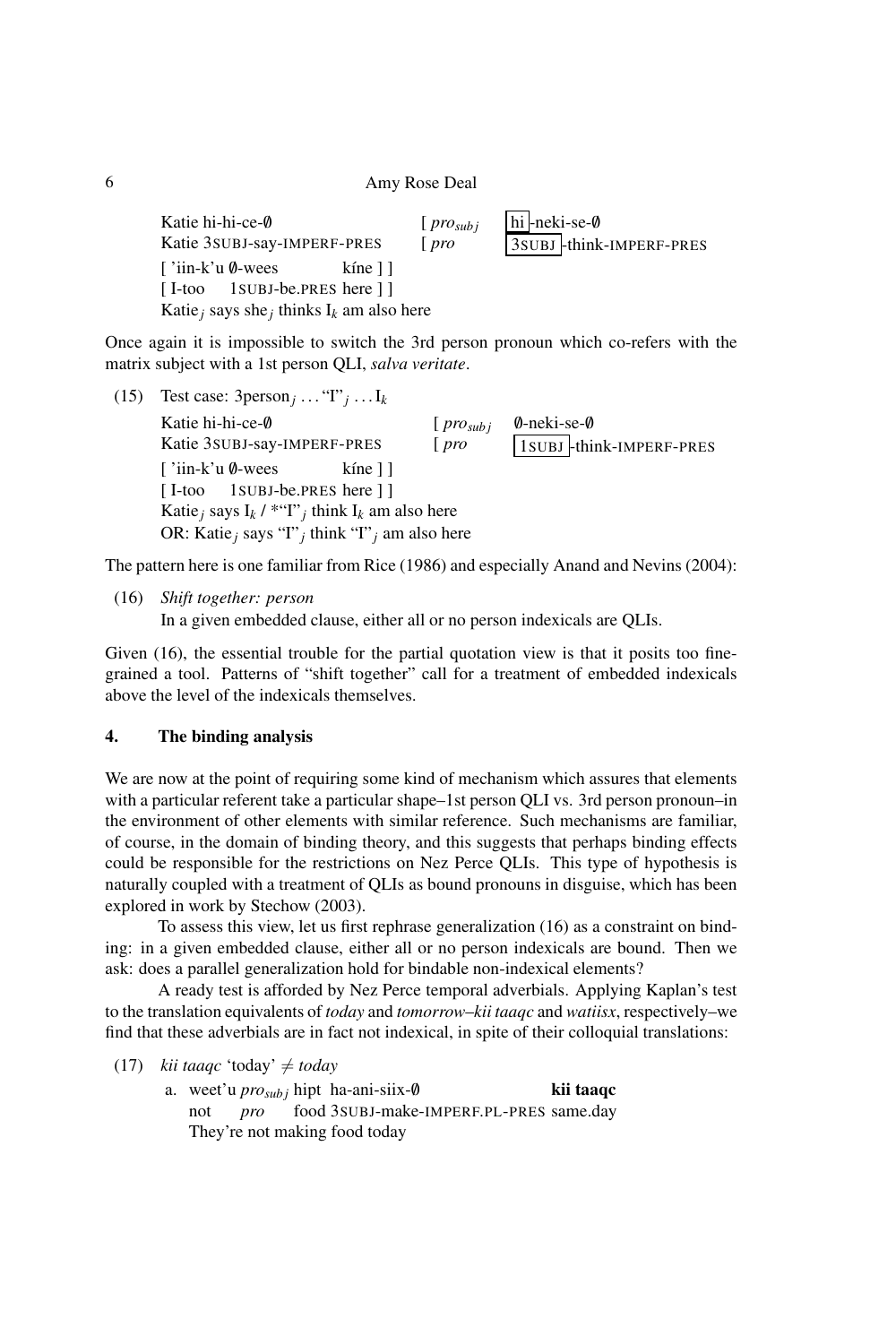| Katie hi-hi-ce-0<br>Katie 3SUBJ-say-IMPERF-PRES | $[pro_{subi}]$<br>$[$ pro | hi-neki-se-Ø<br>3SUBJ -think-IMPERF-PRES |
|-------------------------------------------------|---------------------------|------------------------------------------|
| ∫'iin-k'u Ø-wees<br>kíne 11                     |                           |                                          |
| [I-too 1 SUBJ-be.PRES here ] ]                  |                           |                                          |
| Katie, says she, thinks $I_k$ am also here      |                           |                                          |

Once again it is impossible to switch the 3rd person pronoun which co-refers with the matrix subject with a 1st person QLI, *salva veritate*.

(15) Test case:  $3person_j$  . . . .  $T_j$  . . . I<sub>k</sub> Katie hi-hi-ce-0 Katie 3SUBJ-say-IMPERF-PRES [ *prosub j* [ *pro* /0-neki-se-/0 1SUBJ -think-IMPERF-PRES ['iin-k'u Ø-wees [ I-too 1SUBJ-be.PRES here ] ] kíne ] ] Katie<sub>j</sub> says  $I_k$  / \*"I"<sub>j</sub> think  $I_k$  am also here OR: Katie*<sup>j</sup>* says "I"*<sup>j</sup>* think "I"*<sup>j</sup>* am also here

The pattern here is one familiar from Rice (1986) and especially Anand and Nevins (2004):

```
(16) Shift together: person
```
6

In a given embedded clause, either all or no person indexicals are QLIs.

Given (16), the essential trouble for the partial quotation view is that it posits too finegrained a tool. Patterns of "shift together" call for a treatment of embedded indexicals above the level of the indexicals themselves.

# 4. The binding analysis

We are now at the point of requiring some kind of mechanism which assures that elements with a particular referent take a particular shape–1st person QLI vs. 3rd person pronoun–in the environment of other elements with similar reference. Such mechanisms are familiar, of course, in the domain of binding theory, and this suggests that perhaps binding effects could be responsible for the restrictions on Nez Perce QLIs. This type of hypothesis is naturally coupled with a treatment of QLIs as bound pronouns in disguise, which has been explored in work by Stechow (2003).

To assess this view, let us first rephrase generalization (16) as a constraint on binding: in a given embedded clause, either all or no person indexicals are bound. Then we ask: does a parallel generalization hold for bindable non-indexical elements?

A ready test is afforded by Nez Perce temporal adverbials. Applying Kaplan's test to the translation equivalents of *today* and *tomorrow*–*kii taaqc* and *watiisx*, respectively–we find that these adverbials are in fact not indexical, in spite of their colloquial translations:

(17) *kii taaqc* 'today'  $\neq$  *today* 

a. weet'u *pro*<sub>*subj*</sub> hipt ha-ani-siix-0 not *pro* food 3SUBJ-make-IMPERF.PL-PRES same.day kii taaqc They're not making food today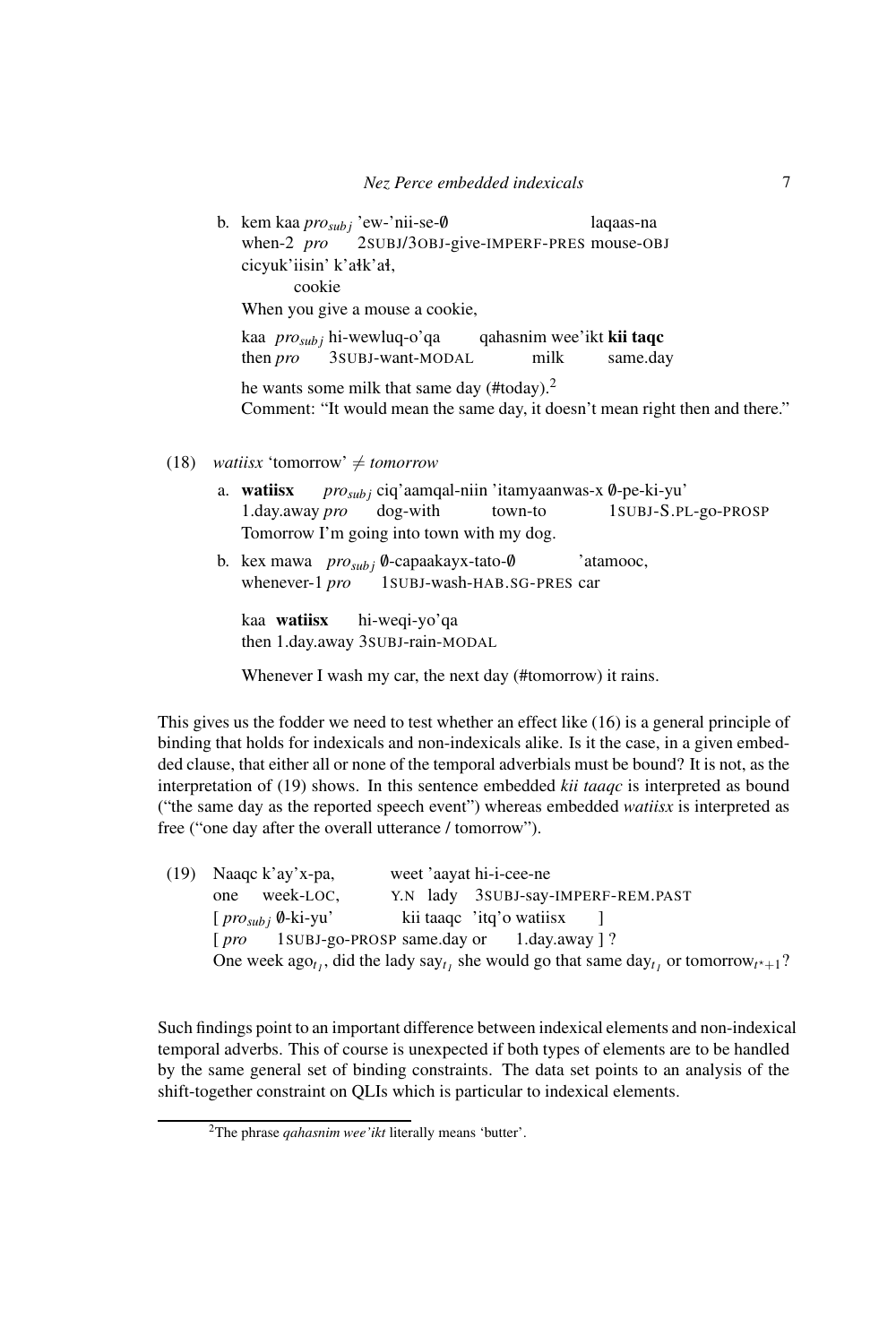b. kem kaa *pro*<sub>*subj*</sub> 'ew-'nii-se-0 when-2 *pro* 2SUBJ/3OBJ-give-IMPERF-PRES mouse-OBJ laqaas-na cicyuk'iisin' k'ałk'ał. cookie When you give a mouse a cookie, kaa *pro<sub>sub j</sub>* hi-wewluq-o'qa then *pro* 3SUBJ-want-MODAL qahasnim wee'ikt kii taqc milk same.day he wants some milk that same day (#today).<sup>2</sup> Comment: "It would mean the same day, it doesn't mean right then and there."

- (18) *watiisx* 'tomorrow'  $\neq$  *tomorrow* 
	- a. watiisx 1.day.away *pro prosub j* ciq'aamqal-niin 'itamyaanwas-x /0-pe-ki-yu' dog-with town-to 1SUBJ-S.PL-go-PROSP Tomorrow I'm going into town with my dog.
	- b. kex mawa *pro*<sub>*subj*</sub> 0-capaakayx-tato-0 whenever-1 *pro* 1SUBJ-wash-HAB.SG-PRES car 'atamooc,

kaa watiisx then 1.day.away 3SUBJ-rain-MODAL hi-weqi-yo'qa

Whenever I wash my car, the next day (#tomorrow) it rains.

This gives us the fodder we need to test whether an effect like (16) is a general principle of binding that holds for indexicals and non-indexicals alike. Is it the case, in a given embedded clause, that either all or none of the temporal adverbials must be bound? It is not, as the interpretation of (19) shows. In this sentence embedded *kii taaqc* is interpreted as bound ("the same day as the reported speech event") whereas embedded *watiisx* is interpreted as free ("one day after the overall utterance / tomorrow").

(19) Naaqc k'ay'x-pa, one week-LOC, weet 'aayat hi-i-cee-ne Y.N lady 3SUBJ-say-IMPERF-REM.PAST [ *prosub j* /0-ki-yu' [ *pro* 1SUBJ-go-PROSP same.day or kii taaqc 'itq'o watiisx 1.day.away ] ? ] One week  $ago_{t_1}$ , did the lady  $say_{t_1}$  she would go that same  $day_{t_1}$  or tomorrow<sub> $t^*+1$ </sub>?

Such findings point to an important difference between indexical elements and non-indexical temporal adverbs. This of course is unexpected if both types of elements are to be handled by the same general set of binding constraints. The data set points to an analysis of the shift-together constraint on QLIs which is particular to indexical elements.

<sup>2</sup>The phrase *qahasnim wee'ikt* literally means 'butter'.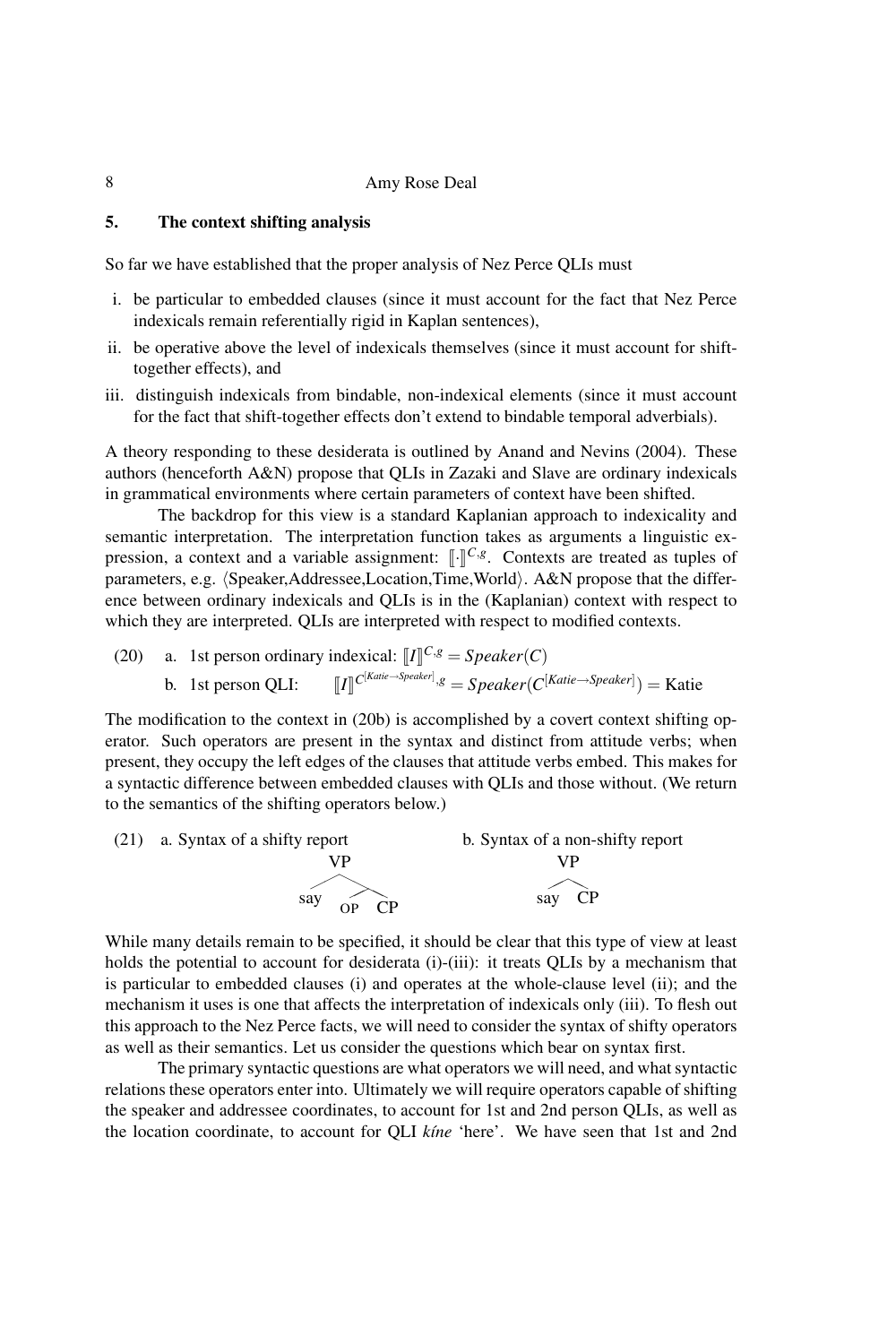# 5. The context shifting analysis

So far we have established that the proper analysis of Nez Perce QLIs must

- i. be particular to embedded clauses (since it must account for the fact that Nez Perce indexicals remain referentially rigid in Kaplan sentences),
- ii. be operative above the level of indexicals themselves (since it must account for shifttogether effects), and
- iii. distinguish indexicals from bindable, non-indexical elements (since it must account for the fact that shift-together effects don't extend to bindable temporal adverbials).

A theory responding to these desiderata is outlined by Anand and Nevins (2004). These authors (henceforth A&N) propose that QLIs in Zazaki and Slave are ordinary indexicals in grammatical environments where certain parameters of context have been shifted.

The backdrop for this view is a standard Kaplanian approach to indexicality and semantic interpretation. The interpretation function takes as arguments a linguistic expression, a context and a variable assignment:  $\left[\cdot\right]^{C,g}$ . Contexts are treated as tuples of parameters, e.g.  $\langle Speaker,Address,Location,Time, World\rangle$ . A&N propose that the difference between ordinary indexicals and QLIs is in the (Kaplanian) context with respect to which they are interpreted. QLIs are interpreted with respect to modified contexts.

(20) a. 1st person ordinary indexical: 
$$
\llbracket I \rrbracket^{C,g} = Speaker(C)
$$

b. 1st person QLI: 
$$
\llbracket I \rrbracket^{C^{[Katie \rightarrow Speaker]}, g} = Speaker(C^{[Katie \rightarrow Speaker]}) = Rate
$$

The modification to the context in (20b) is accomplished by a covert context shifting operator. Such operators are present in the syntax and distinct from attitude verbs; when present, they occupy the left edges of the clauses that attitude verbs embed. This makes for a syntactic difference between embedded clauses with QLIs and those without. (We return to the semantics of the shifting operators below.)



While many details remain to be specified, it should be clear that this type of view at least holds the potential to account for desiderata (i)-(iii): it treats QLIs by a mechanism that is particular to embedded clauses (i) and operates at the whole-clause level (ii); and the mechanism it uses is one that affects the interpretation of indexicals only (iii). To flesh out this approach to the Nez Perce facts, we will need to consider the syntax of shifty operators as well as their semantics. Let us consider the questions which bear on syntax first.

The primary syntactic questions are what operators we will need, and what syntactic relations these operators enter into. Ultimately we will require operators capable of shifting the speaker and addressee coordinates, to account for 1st and 2nd person QLIs, as well as the location coordinate, to account for QLI *k´ıne* 'here'. We have seen that 1st and 2nd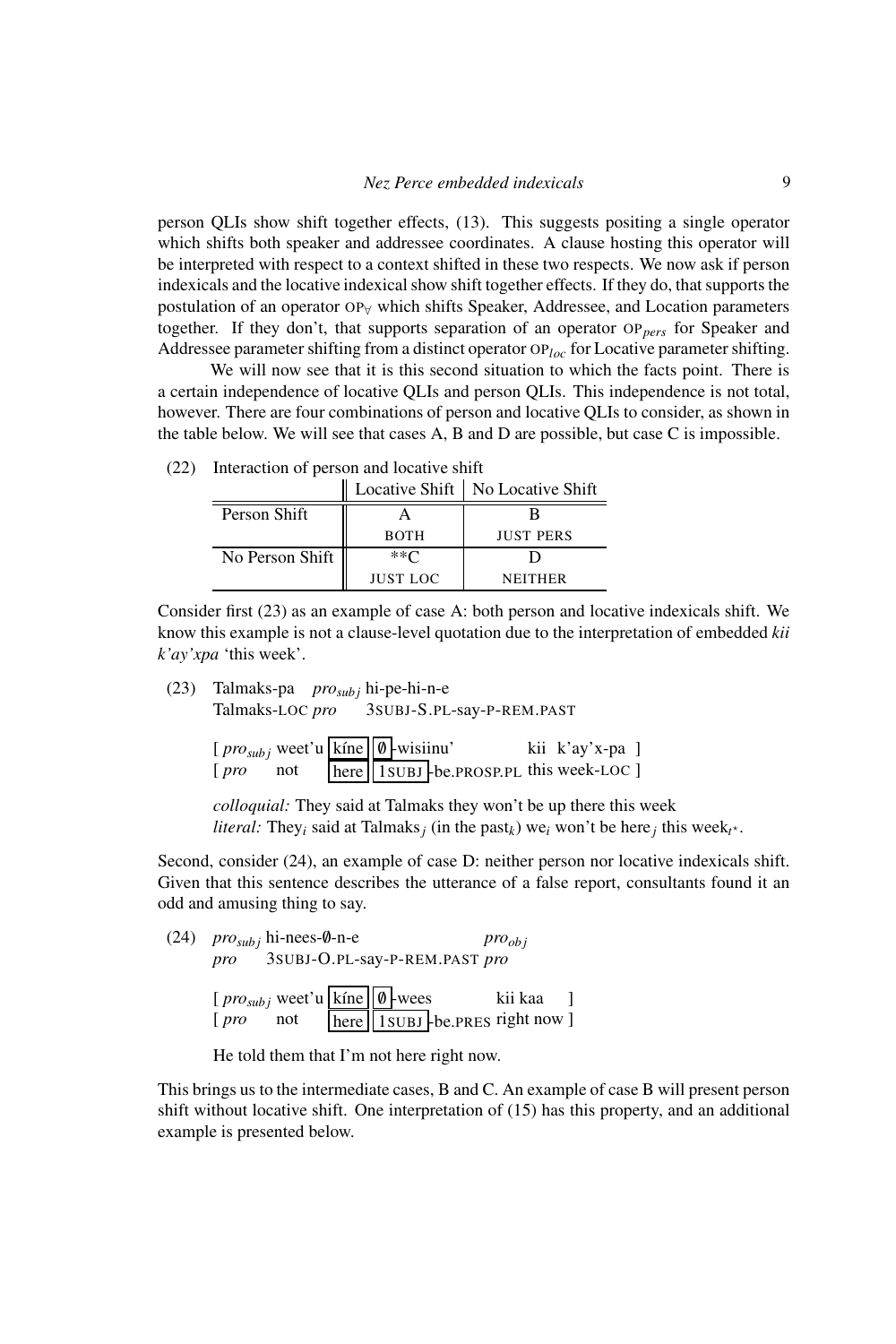person QLIs show shift together effects, (13). This suggests positing a single operator which shifts both speaker and addressee coordinates. A clause hosting this operator will be interpreted with respect to a context shifted in these two respects. We now ask if person indexicals and the locative indexical show shift together effects. If they do, that supports the postulation of an operator OP<sub>∀</sub> which shifts Speaker, Addressee, and Location parameters together. If they don't, that supports separation of an operator OP*pers* for Speaker and Addressee parameter shifting from a distinct operator OP*loc* for Locative parameter shifting.

We will now see that it is this second situation to which the facts point. There is a certain independence of locative QLIs and person QLIs. This independence is not total, however. There are four combinations of person and locative QLIs to consider, as shown in the table below. We will see that cases A, B and D are possible, but case C is impossible.

|                 |                 | Locative Shift   No Locative Shift |
|-----------------|-----------------|------------------------------------|
| Person Shift    |                 |                                    |
|                 | <b>BOTH</b>     | <b>JUST PERS</b>                   |
| No Person Shift | **Γ             |                                    |
|                 | <b>JUST LOC</b> | <b>NEITHER</b>                     |

(22) Interaction of person and locative shift

Consider first (23) as an example of case A: both person and locative indexicals shift. We know this example is not a clause-level quotation due to the interpretation of embedded *kii k'ay'xpa* 'this week'.

(23) Talmaks-pa *prosub j* hi-pe-hi-n-e

Talmaks-LOC *pro* 3SUBJ-S.PL-say-P-REM.PAST

| $[prox_{subj}$ weet'u kine $\emptyset$ -wisiinu' |     |  |                                        | kii k'ay'x-pa ] |  |
|--------------------------------------------------|-----|--|----------------------------------------|-----------------|--|
| $[$ pro                                          | not |  | here 1SUBJ-be.PROSP.PL this week-LOC ] |                 |  |

*colloquial:* They said at Talmaks they won't be up there this week *literal:* They<sub>*i*</sub> said at Talmaks<sub>*j*</sub> (in the past<sub>*k*</sub>) we<sub>*i*</sub> won't be here<sub>*j*</sub> this week<sub>*t*<sup>\*</sup></sub>.

Second, consider (24), an example of case D: neither person nor locative indexicals shift. Given that this sentence describes the utterance of a false report, consultants found it an odd and amusing thing to say.

 $(24)$  *pro*<sub>*subj*</sub> hi-nees-0-n-e *pro* 3SUBJ-O.PL-say-P-REM.PAST *pro proob j*  $[$ *pro*<sub>*subj*</sub> weet'u kine  $\emptyset$  -wees [ *pro* not here | 1 SUBJ - be.PRES right now ] kii kaa ]

# He told them that I'm not here right now.

This brings us to the intermediate cases, B and C. An example of case B will present person shift without locative shift. One interpretation of (15) has this property, and an additional example is presented below.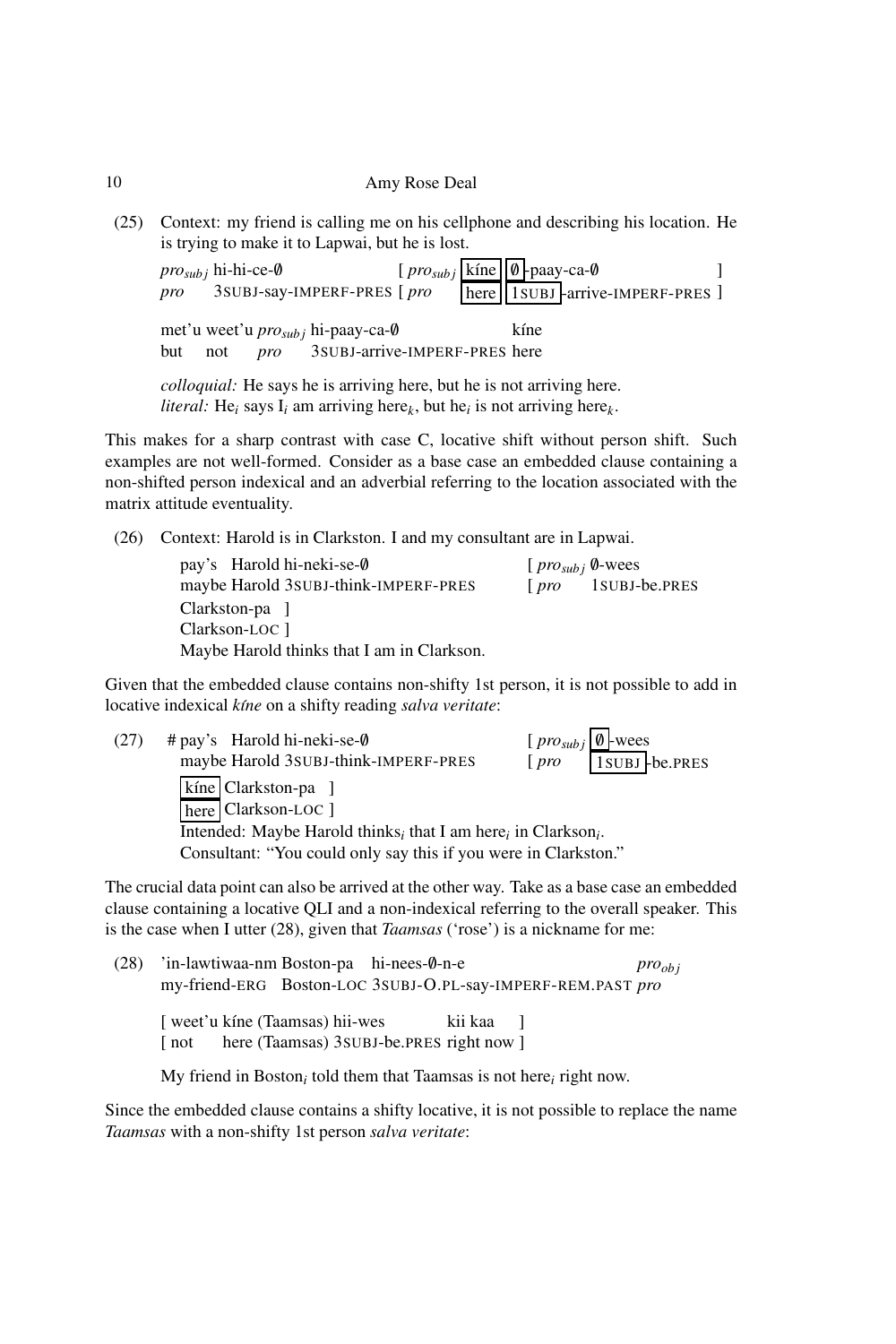(25) Context: my friend is calling me on his cellphone and describing his location. He is trying to make it to Lapwai, but he is lost.

|         | <i>pro<sub>sub i</sub></i> hi-hi-ce-Ø | pro 3SUBJ-say-IMPERF-PRES [pro                       | $[pro_{subj}$ kíne $\boxed{\emptyset}$ -paay-ca- $\emptyset$ |      | here 1SUBJ-arrive-IMPERF-PRES ] |  |
|---------|---------------------------------------|------------------------------------------------------|--------------------------------------------------------------|------|---------------------------------|--|
|         |                                       | met'u weet'u <i>pro<sub>sub i</sub></i> hi-paay-ca-0 |                                                              | kíne |                                 |  |
| but not |                                       | <i>pro</i> 3SUBJ-arrive-IMPERF-PRES here             |                                                              |      |                                 |  |

*colloquial:* He says he is arriving here, but he is not arriving here. *literal:* He*<sup>i</sup>* says I*<sup>i</sup>* am arriving here*<sup>k</sup>* , but he*<sup>i</sup>* is not arriving here*<sup>k</sup>* .

This makes for a sharp contrast with case C, locative shift without person shift. Such examples are not well-formed. Consider as a base case an embedded clause containing a non-shifted person indexical and an adverbial referring to the location associated with the matrix attitude eventuality.

(26) Context: Harold is in Clarkston. I and my consultant are in Lapwai.

| pay's Harold hi-neki-se-0                  | $[$ <i>pro<sub>subi</sub></i> $\emptyset$ -wees |                |
|--------------------------------------------|-------------------------------------------------|----------------|
| maybe Harold 3SUBJ-think-IMPERF-PRES       | 1 pro                                           | 1 SUBJ-be.PRES |
| Clarkston-pa ]                             |                                                 |                |
| Clarkson-LOC 1                             |                                                 |                |
| Maybe Harold thinks that I am in Clarkson. |                                                 |                |

Given that the embedded clause contains non-shifty 1st person, it is not possible to add in locative indexical *k´ıne* on a shifty reading *salva veritate*:

| (27) | $#$ pay's Harold hi-neki-se- $\emptyset$                        | $[pro_{subj} \emptyset$ -wees |  |  |  |  |
|------|-----------------------------------------------------------------|-------------------------------|--|--|--|--|
|      | maybe Harold 3SUBJ-think-IMPERF-PRES                            | 1SUBJ-be.PRES<br>[pro]        |  |  |  |  |
|      | kíne Clarkston-pa ]                                             |                               |  |  |  |  |
|      | here Clarkson-LOC ]                                             |                               |  |  |  |  |
|      | Intended: Maybe Harold thinks, that I am here, in Clarkson,.    |                               |  |  |  |  |
|      | Consultant: "You could only say this if you were in Clarkston." |                               |  |  |  |  |
|      |                                                                 |                               |  |  |  |  |

The crucial data point can also be arrived at the other way. Take as a base case an embedded clause containing a locative QLI and a non-indexical referring to the overall speaker. This is the case when I utter (28), given that *Taamsas* ('rose') is a nickname for me:

| (28) | 'in-lawtiwaa-nm Boston-pa hi-nees-0-n-e                                                           | $pro_{obi}$ |
|------|---------------------------------------------------------------------------------------------------|-------------|
|      | my-friend-ERG Boston-LOC 3SUBJ-O.PL-say-IMPERF-REM.PAST pro                                       |             |
|      | weet'u kine (Taamsas) hii-wes<br>kii kaa l<br>here (Taamsas) 3 SUBJ-be. PRES right now 1<br>l not |             |

My friend in Boston*<sup>i</sup>* told them that Taamsas is not here*<sup>i</sup>* right now.

Since the embedded clause contains a shifty locative, it is not possible to replace the name *Taamsas* with a non-shifty 1st person *salva veritate*: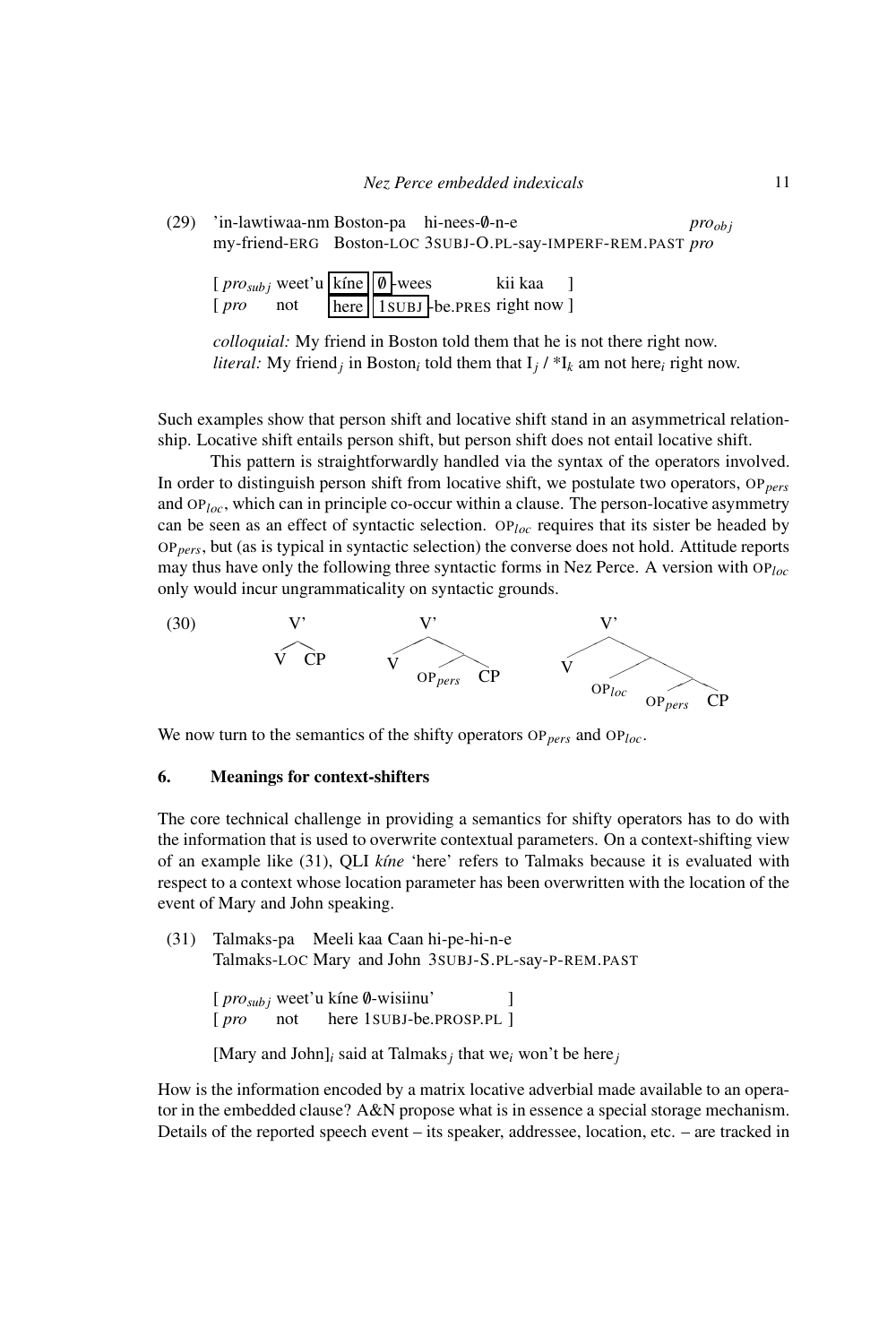(29) 'in-lawtiwaa-nm Boston-pa hi-nees-/0-n-e my-friend-ERG Boston-LOC 3SUBJ-O.PL-say-IMPERF-REM.PAST *pro proob j*

| $[prox_{subj}$ weet'u kine $\theta$ -wees |     |  | kii kaa                        |  |
|-------------------------------------------|-----|--|--------------------------------|--|
| [pro]                                     | not |  | here 1subJ-be.PRES right now ] |  |

*colloquial:* My friend in Boston told them that he is not there right now. *literal:* My friend<sub>*i*</sub> in Boston<sub>*i*</sub> told them that  $I_j$  /  $*I_k$  am not here*i* right now.

Such examples show that person shift and locative shift stand in an asymmetrical relationship. Locative shift entails person shift, but person shift does not entail locative shift.

This pattern is straightforwardly handled via the syntax of the operators involved. In order to distinguish person shift from locative shift, we postulate two operators, OP*pers* and OP*loc*, which can in principle co-occur within a clause. The person-locative asymmetry can be seen as an effect of syntactic selection. OP*loc* requires that its sister be headed by OP*pers*, but (as is typical in syntactic selection) the converse does not hold. Attitude reports may thus have only the following three syntactic forms in Nez Perce. A version with OP*loc* only would incur ungrammaticality on syntactic grounds.



We now turn to the semantics of the shifty operators OP*pers* and OP*loc*.

### 6. Meanings for context-shifters

The core technical challenge in providing a semantics for shifty operators has to do with the information that is used to overwrite contextual parameters. On a context-shifting view of an example like (31), QLI *k´ıne* 'here' refers to Talmaks because it is evaluated with respect to a context whose location parameter has been overwritten with the location of the event of Mary and John speaking.

(31) Talmaks-pa Meeli kaa Caan hi-pe-hi-n-e Talmaks-LOC Mary and John 3SUBJ-S.PL-say-P-REM.PAST [  $\text{pro}_{\text{subj}}$  weet'u kine 0-wisiinu' ]

```
[
pro
not
              here
1SUBJ-be.PROSP.PL
]
```
[Mary and John]*<sup>i</sup>* said at Talmaks*<sup>j</sup>* that we*<sup>i</sup>* won't be here*<sup>j</sup>*

How is the information encoded by a matrix locative adverbial made available to an operator in the embedded clause? A&N propose what is in essence a special storage mechanism. Details of the reported speech event – its speaker, addressee, location, etc. – are tracked in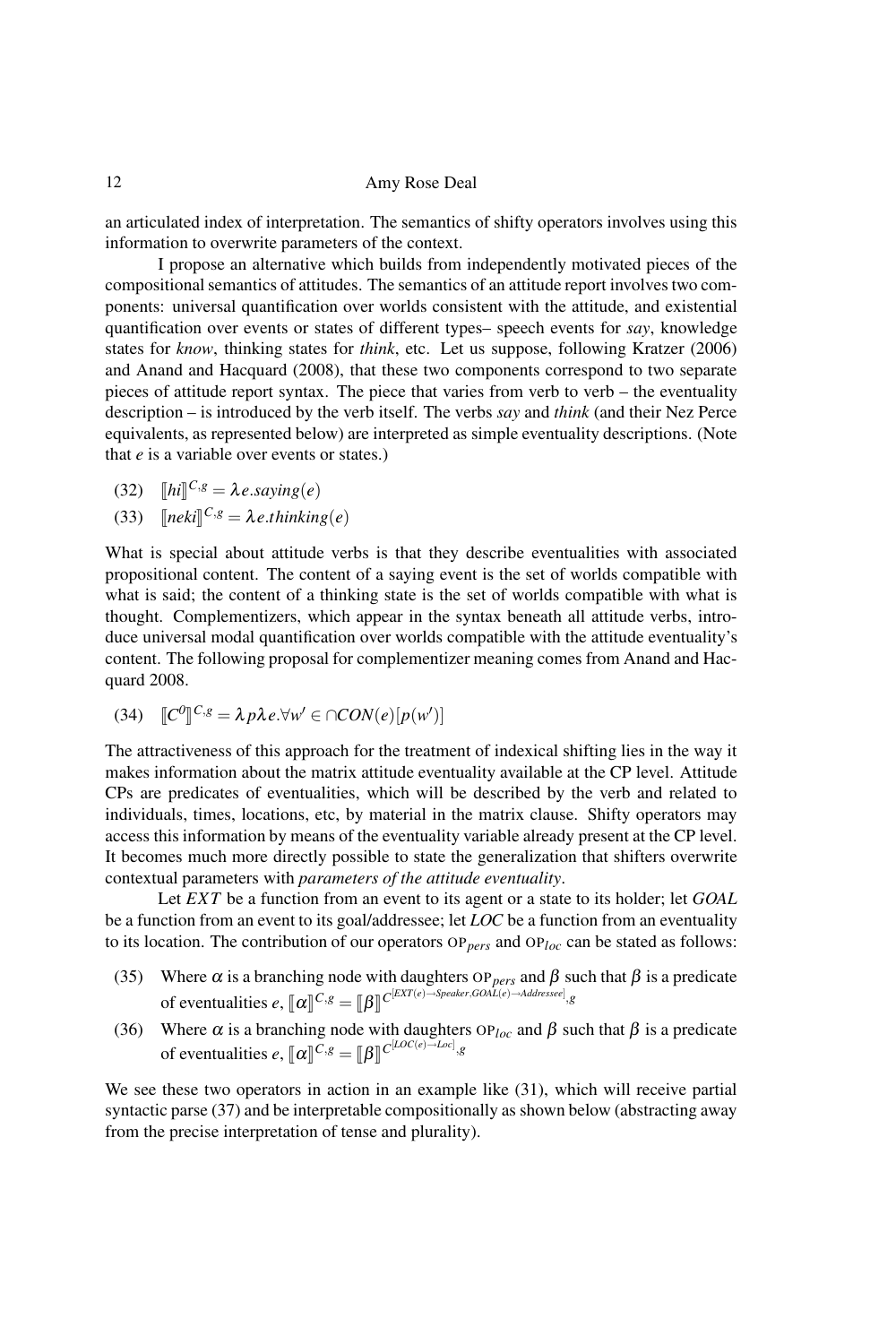an articulated index of interpretation. The semantics of shifty operators involves using this information to overwrite parameters of the context.

I propose an alternative which builds from independently motivated pieces of the compositional semantics of attitudes. The semantics of an attitude report involves two components: universal quantification over worlds consistent with the attitude, and existential quantification over events or states of different types– speech events for *say*, knowledge states for *know*, thinking states for *think*, etc. Let us suppose, following Kratzer (2006) and Anand and Hacquard (2008), that these two components correspond to two separate pieces of attitude report syntax. The piece that varies from verb to verb – the eventuality description – is introduced by the verb itself. The verbs *say* and *think* (and their Nez Perce equivalents, as represented below) are interpreted as simple eventuality descriptions. (Note that *e* is a variable over events or states.)

$$
(32) \quad [hi]^{C,g} = \lambda \, e \, \text{saying}(e)
$$

(33)  $[neki]^{C,g} = \lambda e.$ *thinking*(*e*)

What is special about attitude verbs is that they describe eventualities with associated propositional content. The content of a saying event is the set of worlds compatible with what is said; the content of a thinking state is the set of worlds compatible with what is thought. Complementizers, which appear in the syntax beneath all attitude verbs, introduce universal modal quantification over worlds compatible with the attitude eventuality's content. The following proposal for complementizer meaning comes from Anand and Hacquard 2008.

(34)  $\llbracket C^0 \rrbracket^{C,g} = \lambda p \lambda e. \forall w' \in \bigcap CON(e)[p(w')]$ 

The attractiveness of this approach for the treatment of indexical shifting lies in the way it makes information about the matrix attitude eventuality available at the CP level. Attitude CPs are predicates of eventualities, which will be described by the verb and related to individuals, times, locations, etc, by material in the matrix clause. Shifty operators may access this information by means of the eventuality variable already present at the CP level. It becomes much more directly possible to state the generalization that shifters overwrite contextual parameters with *parameters of the attitude eventuality*.

Let *EXT* be a function from an event to its agent or a state to its holder; let *GOAL* be a function from an event to its goal/addressee; let *LOC* be a function from an eventuality to its location. The contribution of our operators OP*pers* and OP*loc* can be stated as follows:

- (35) Where  $\alpha$  is a branching node with daughters OP<sub>pers</sub> and  $\beta$  such that  $\beta$  is a predicate of eventualities  $e$ ,  $[\![\alpha]\!]^{C,g} = [\![\beta]\!]^{C^{[EXT(e)\rightarrow Speaker, GOAL(e)\rightarrow Addressee]},g}$
- (36) Where  $\alpha$  is a branching node with daughters  $OP_{loc}$  and  $\beta$  such that  $\beta$  is a predicate of eventualities  $e$ ,  $\llbracket \alpha \rrbracket^{C,g} = \llbracket \beta \rrbracket^{C[LOC(e) \to Loc]}, g$

We see these two operators in action in an example like  $(31)$ , which will receive partial syntactic parse (37) and be interpretable compositionally as shown below (abstracting away from the precise interpretation of tense and plurality).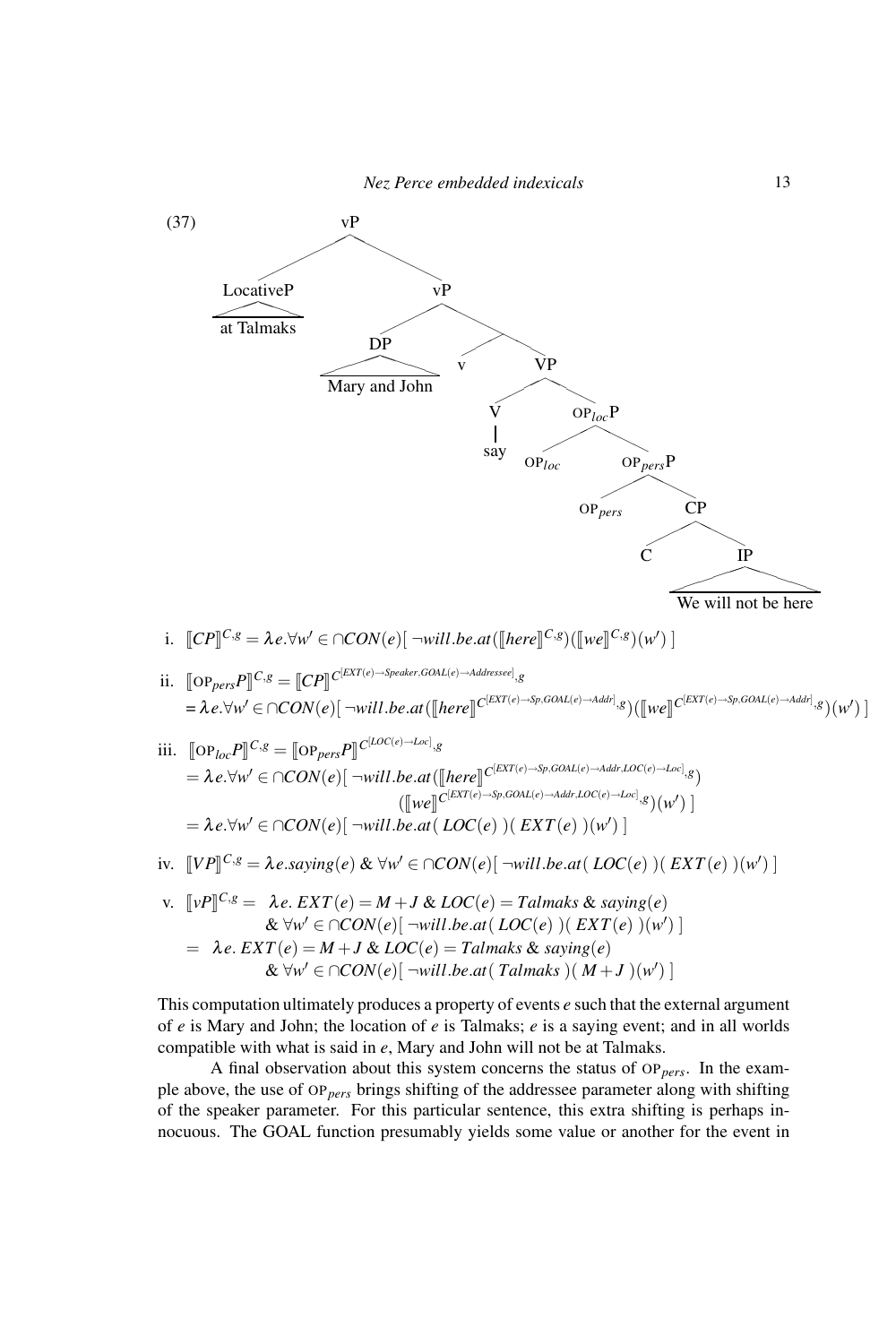

$$
= \lambda e. \forall w' \in \bigcap CON(e)[\neg will.be.at(\text{LOC}(e))(\text{EXT}(e))(\text{w}')]
$$

- iv.  $[VP]^{\text{C,g}} = \lambda e \text{.} \text{saying}(e) \& \forall w' \in \bigcap CON(e) [\neg will \text{.} \text{be} \text{.} \text{at}(\text{LOC}(e)) (\text{EXT}(e)) (w') ]$
- v.  $[\![vP]\!]^{C,g} = \lambda e. \, EXT(e) = M + J \& \, LOC(e) = Talmaks \& \, saying(e)$  $\&$  ∀*w*<sup>'</sup> ∈ ∩*CON*(*e*)[ ¬*will*.*be.at*( *LOC*(*e*) )( *EXT*(*e*) )(*w*<sup>'</sup>)]  $= \lambda e$ .  $EXT(e) = M + J & LOC(e) = Talmaks & saying(e)$  $\&$  ∀w' ∈ ∩CON(e)[ ¬will.be.at( Talmaks )(  $M+J$  )(w')]

This computation ultimately produces a property of events *e* such that the external argument of *e* is Mary and John; the location of *e* is Talmaks; *e* is a saying event; and in all worlds compatible with what is said in *e*, Mary and John will not be at Talmaks.

A final observation about this system concerns the status of OP*pers*. In the example above, the use of OP*pers* brings shifting of the addressee parameter along with shifting of the speaker parameter. For this particular sentence, this extra shifting is perhaps innocuous. The GOAL function presumably yields some value or another for the event in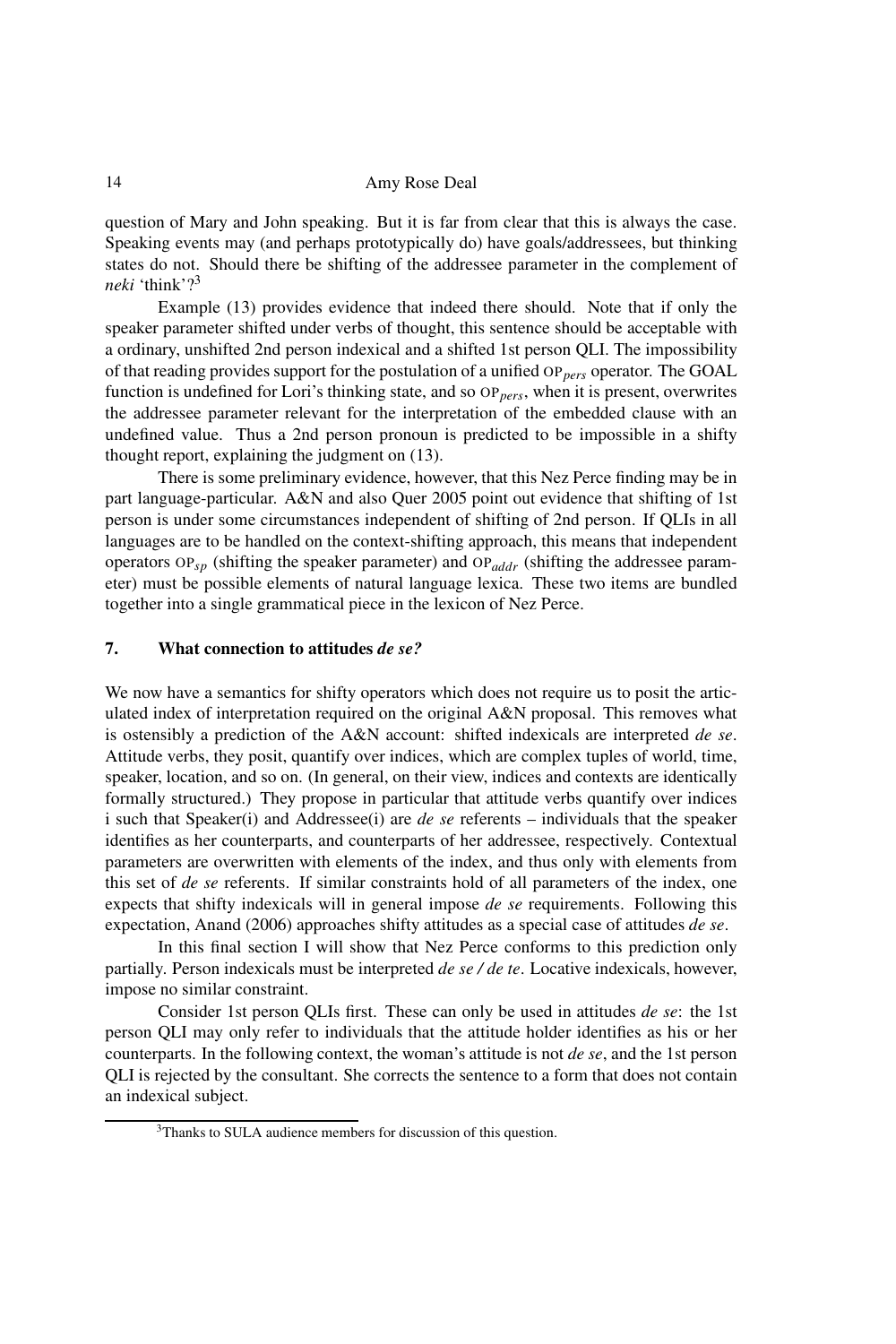question of Mary and John speaking. But it is far from clear that this is always the case. Speaking events may (and perhaps prototypically do) have goals/addressees, but thinking states do not. Should there be shifting of the addressee parameter in the complement of *neki* 'think'?<sup>3</sup>

Example (13) provides evidence that indeed there should. Note that if only the speaker parameter shifted under verbs of thought, this sentence should be acceptable with a ordinary, unshifted 2nd person indexical and a shifted 1st person QLI. The impossibility of that reading provides support for the postulation of a unified OP*pers* operator. The GOAL function is undefined for Lori's thinking state, and so OP<sub>pers</sub>, when it is present, overwrites the addressee parameter relevant for the interpretation of the embedded clause with an undefined value. Thus a 2nd person pronoun is predicted to be impossible in a shifty thought report, explaining the judgment on (13).

There is some preliminary evidence, however, that this Nez Perce finding may be in part language-particular. A&N and also Quer 2005 point out evidence that shifting of 1st person is under some circumstances independent of shifting of 2nd person. If QLIs in all languages are to be handled on the context-shifting approach, this means that independent operators OP*sp* (shifting the speaker parameter) and OP*addr* (shifting the addressee parameter) must be possible elements of natural language lexica. These two items are bundled together into a single grammatical piece in the lexicon of Nez Perce.

## 7. What connection to attitudes *de se?*

We now have a semantics for shifty operators which does not require us to posit the articulated index of interpretation required on the original A&N proposal. This removes what is ostensibly a prediction of the A&N account: shifted indexicals are interpreted *de se*. Attitude verbs, they posit, quantify over indices, which are complex tuples of world, time, speaker, location, and so on. (In general, on their view, indices and contexts are identically formally structured.) They propose in particular that attitude verbs quantify over indices i such that Speaker(i) and Addressee(i) are *de se* referents – individuals that the speaker identifies as her counterparts, and counterparts of her addressee, respectively. Contextual parameters are overwritten with elements of the index, and thus only with elements from this set of *de se* referents. If similar constraints hold of all parameters of the index, one expects that shifty indexicals will in general impose *de se* requirements. Following this expectation, Anand (2006) approaches shifty attitudes as a special case of attitudes *de se*.

In this final section I will show that Nez Perce conforms to this prediction only partially. Person indexicals must be interpreted *de se / de te*. Locative indexicals, however, impose no similar constraint.

Consider 1st person QLIs first. These can only be used in attitudes *de se*: the 1st person QLI may only refer to individuals that the attitude holder identifies as his or her counterparts. In the following context, the woman's attitude is not *de se*, and the 1st person QLI is rejected by the consultant. She corrects the sentence to a form that does not contain an indexical subject.

<sup>3</sup>Thanks to SULA audience members for discussion of this question.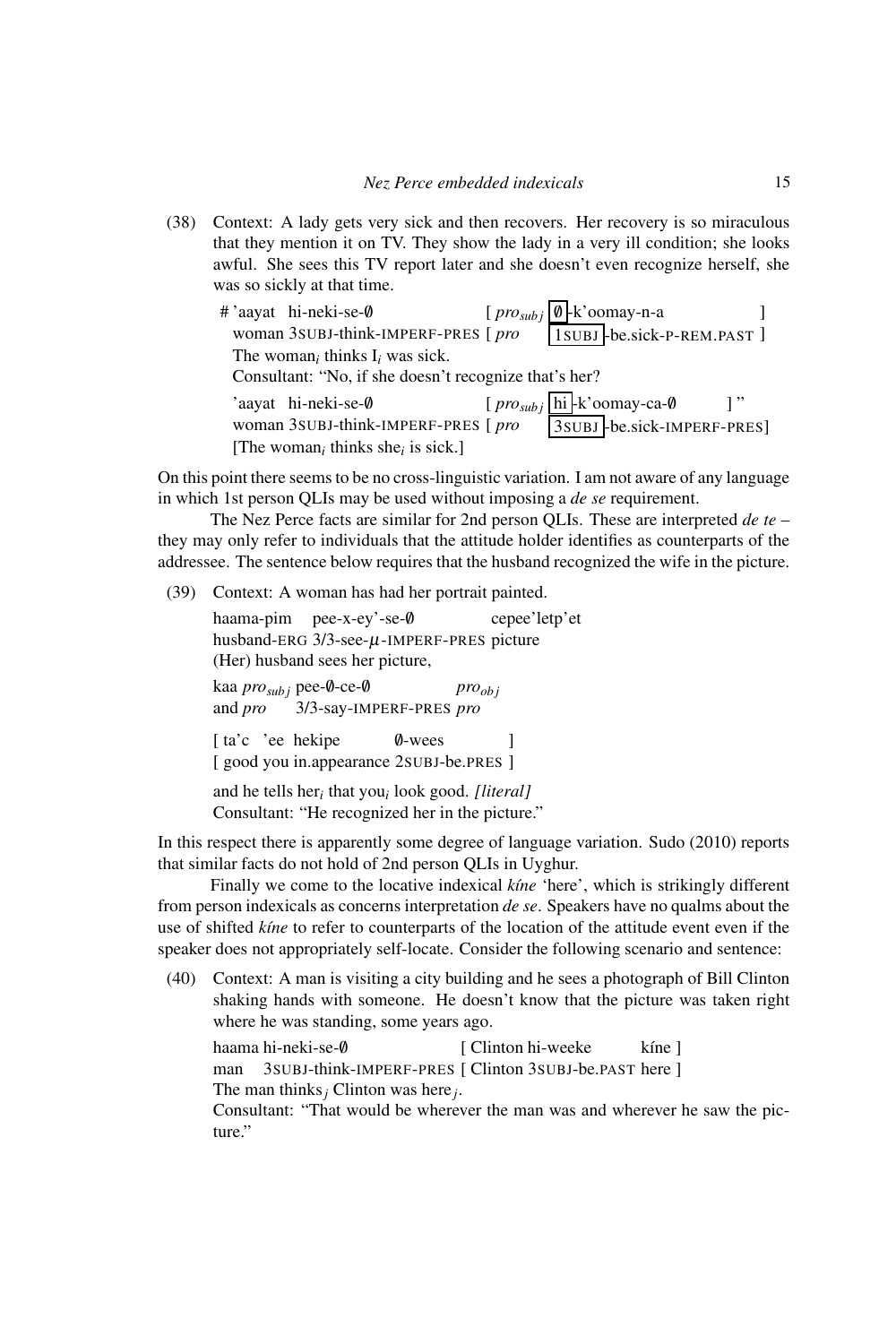(38) Context: A lady gets very sick and then recovers. Her recovery is so miraculous that they mention it on TV. They show the lady in a very ill condition; she looks awful. She sees this TV report later and she doesn't even recognize herself, she was so sickly at that time.

|  | # 'aayat hi-neki-se-0                                     | [ $\frac{p}{q}$ $\frac{p}{q}$ $\frac{p}{q}$ $\frac{p}{q}$ $\frac{p}{q}$ $\frac{p}{q}$ $\frac{p}{q}$ |  |
|--|-----------------------------------------------------------|-----------------------------------------------------------------------------------------------------|--|
|  | woman 3SUBJ-think-IMPERF-PRES [pro                        | ISUBJ-be.sick-P-REM.PAST]                                                                           |  |
|  | The woman <sub>i</sub> thinks $I_i$ was sick.             |                                                                                                     |  |
|  | Consultant: "No, if she doesn't recognize that's her?     |                                                                                                     |  |
|  | 'aayat hi-neki-se-0                                       | $[pro_{subj}]$ hi -k'oomay-ca-0                                                                     |  |
|  | woman 3SUBJ-think-IMPERF-PRES [pro                        | 3SUBJ-be.sick-IMPERF-PRES]                                                                          |  |
|  | [The woman <sub>i</sub> thinks she <sub>i</sub> is sick.] |                                                                                                     |  |

On this point there seems to be no cross-linguistic variation. I am not aware of any language in which 1st person QLIs may be used without imposing a *de se* requirement.

The Nez Perce facts are similar for 2nd person QLIs. These are interpreted *de te* – they may only refer to individuals that the attitude holder identifies as counterparts of the addressee. The sentence below requires that the husband recognized the wife in the picture.

(39) Context: A woman has had her portrait painted.

haama-pim pee-x-ey'-se-/0 husband-ERG 3/3-see-µ-IMPERF-PRES picture cepee'letp'et (Her) husband sees her picture, kaa *pro<sub>subj</sub>* pee-0-ce-0 and *pro* 3/3-say-IMPERF-PRES *pro proob j* [ta'c 'ee hekipe [good you in.appearance 2SUBJ-be.PRES ] /0-wees ] and he tells her*<sup>i</sup>* that you*<sup>i</sup>* look good. *[literal]* Consultant: "He recognized her in the picture."

In this respect there is apparently some degree of language variation. Sudo (2010) reports that similar facts do not hold of 2nd person QLIs in Uyghur.

Finally we come to the locative indexical *kine* 'here', which is strikingly different from person indexicals as concerns interpretation *de se*. Speakers have no qualms about the use of shifted *k´ıne* to refer to counterparts of the location of the attitude event even if the speaker does not appropriately self-locate. Consider the following scenario and sentence:

(40) Context: A man is visiting a city building and he sees a photograph of Bill Clinton shaking hands with someone. He doesn't know that the picture was taken right where he was standing, some years ago.

haama hi-neki-se-/0 man 3SUBJ-think-IMPERF-PRES [ Clinton 3SUBJ-be.PAST here ] [ Clinton hi-weeke kíne ] The man thinks*<sup>j</sup>* Clinton was here*j*.

Consultant: "That would be wherever the man was and wherever he saw the picture."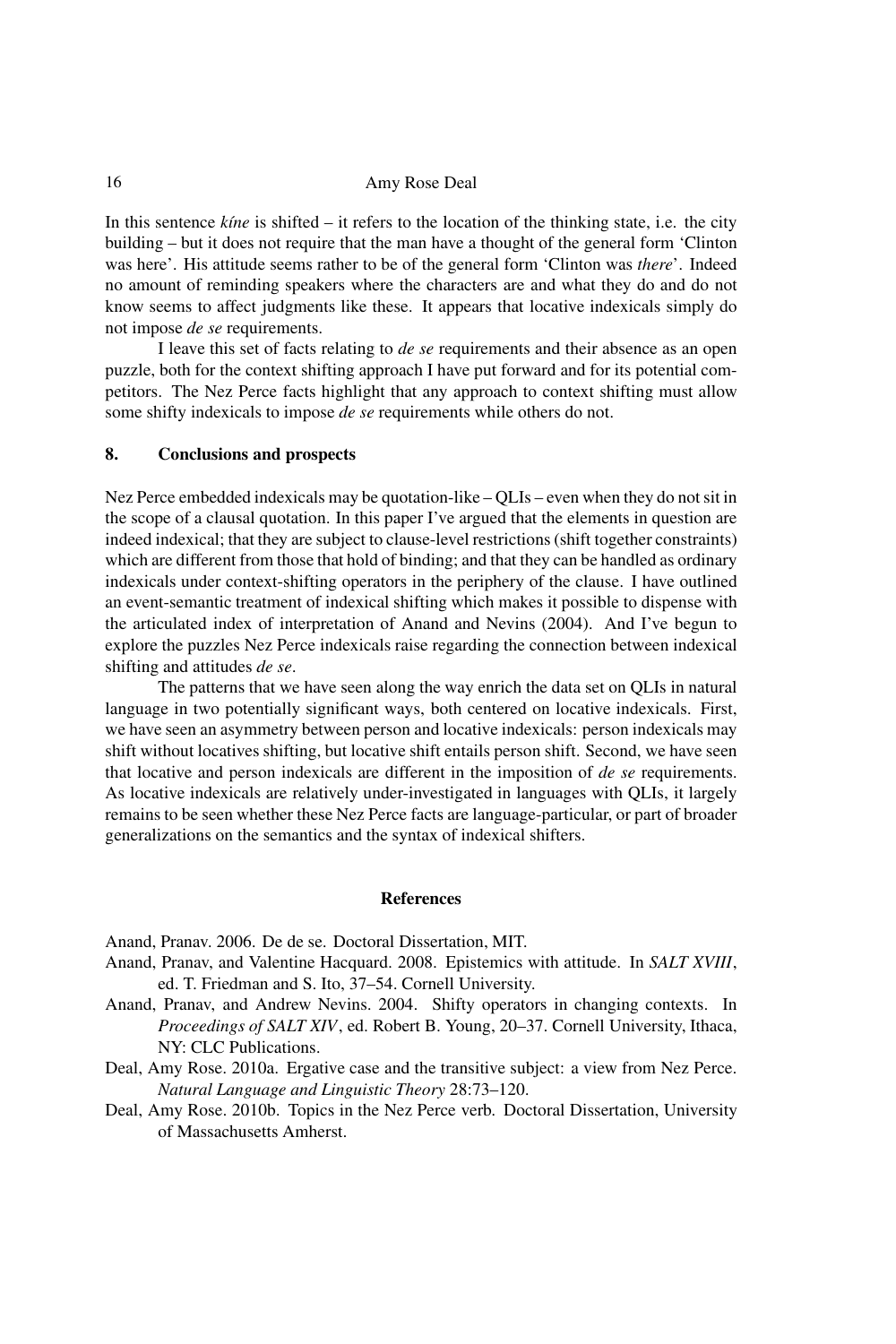In this sentence *kine* is shifted – it refers to the location of the thinking state, i.e. the city building – but it does not require that the man have a thought of the general form 'Clinton was here'. His attitude seems rather to be of the general form 'Clinton was *there*'. Indeed no amount of reminding speakers where the characters are and what they do and do not know seems to affect judgments like these. It appears that locative indexicals simply do not impose *de se* requirements.

I leave this set of facts relating to *de se* requirements and their absence as an open puzzle, both for the context shifting approach I have put forward and for its potential competitors. The Nez Perce facts highlight that any approach to context shifting must allow some shifty indexicals to impose *de se* requirements while others do not.

# 8. Conclusions and prospects

Nez Perce embedded indexicals may be quotation-like – QLIs – even when they do not sit in the scope of a clausal quotation. In this paper I've argued that the elements in question are indeed indexical; that they are subject to clause-level restrictions (shift together constraints) which are different from those that hold of binding; and that they can be handled as ordinary indexicals under context-shifting operators in the periphery of the clause. I have outlined an event-semantic treatment of indexical shifting which makes it possible to dispense with the articulated index of interpretation of Anand and Nevins (2004). And I've begun to explore the puzzles Nez Perce indexicals raise regarding the connection between indexical shifting and attitudes *de se*.

The patterns that we have seen along the way enrich the data set on QLIs in natural language in two potentially significant ways, both centered on locative indexicals. First, we have seen an asymmetry between person and locative indexicals: person indexicals may shift without locatives shifting, but locative shift entails person shift. Second, we have seen that locative and person indexicals are different in the imposition of *de se* requirements. As locative indexicals are relatively under-investigated in languages with QLIs, it largely remains to be seen whether these Nez Perce facts are language-particular, or part of broader generalizations on the semantics and the syntax of indexical shifters.

### References

Anand, Pranav. 2006. De de se. Doctoral Dissertation, MIT.

- Anand, Pranav, and Valentine Hacquard. 2008. Epistemics with attitude. In *SALT XVIII*, ed. T. Friedman and S. Ito, 37–54. Cornell University.
- Anand, Pranav, and Andrew Nevins. 2004. Shifty operators in changing contexts. In *Proceedings of SALT XIV*, ed. Robert B. Young, 20–37. Cornell University, Ithaca, NY: CLC Publications.
- Deal, Amy Rose. 2010a. Ergative case and the transitive subject: a view from Nez Perce. *Natural Language and Linguistic Theory* 28:73–120.
- Deal, Amy Rose. 2010b. Topics in the Nez Perce verb. Doctoral Dissertation, University of Massachusetts Amherst.